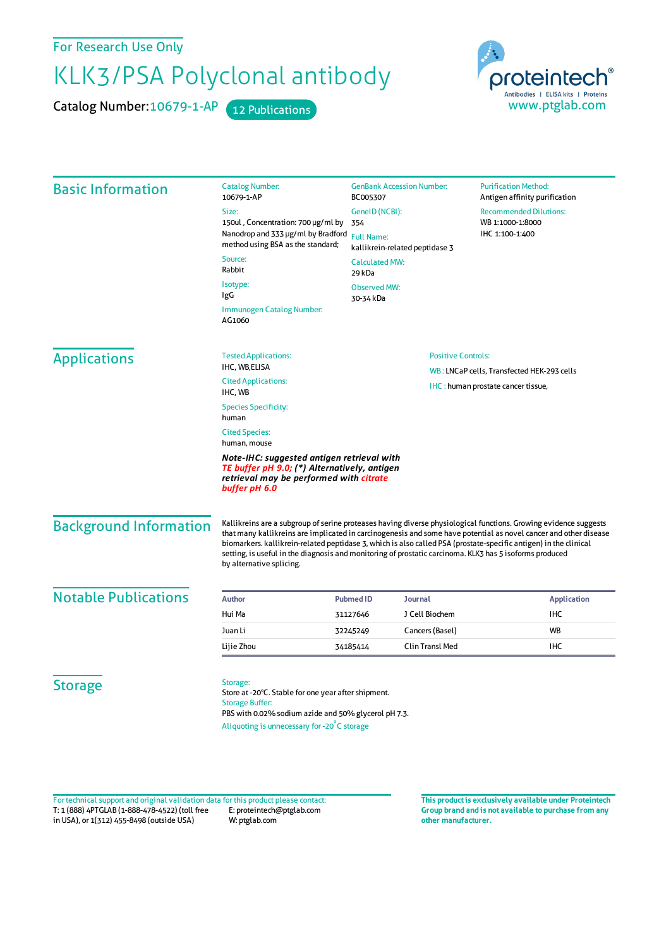For Research Use Only

## KLK3/PSA Polyclonal antibody

Catalog Number: 10679-1-AP 12 Publications



| <b>Basic Information</b>      | <b>Catalog Number:</b><br>10679-1-AP                                                                                                                                                                                                                                                                                                                                                                                                                                                            | <b>GenBank Accession Number:</b><br>BC005307 |                                            | <b>Purification Method:</b><br>Antigen affinity purification         |  |
|-------------------------------|-------------------------------------------------------------------------------------------------------------------------------------------------------------------------------------------------------------------------------------------------------------------------------------------------------------------------------------------------------------------------------------------------------------------------------------------------------------------------------------------------|----------------------------------------------|--------------------------------------------|----------------------------------------------------------------------|--|
|                               | Size:                                                                                                                                                                                                                                                                                                                                                                                                                                                                                           | GenelD (NCBI):<br>354<br><b>Full Name:</b>   |                                            | <b>Recommended Dilutions:</b><br>WB 1:1000-1:8000<br>IHC 1:100-1:400 |  |
|                               | 150ul, Concentration: 700 µg/ml by                                                                                                                                                                                                                                                                                                                                                                                                                                                              |                                              |                                            |                                                                      |  |
|                               | Nanodrop and 333 µg/ml by Bradford<br>method using BSA as the standard;                                                                                                                                                                                                                                                                                                                                                                                                                         |                                              |                                            |                                                                      |  |
|                               | kallikrein-related peptidase 3<br>Source:<br><b>Calculated MW:</b>                                                                                                                                                                                                                                                                                                                                                                                                                              |                                              |                                            |                                                                      |  |
|                               | Rabbit                                                                                                                                                                                                                                                                                                                                                                                                                                                                                          | 29 kDa                                       |                                            |                                                                      |  |
|                               | Isotype:                                                                                                                                                                                                                                                                                                                                                                                                                                                                                        | <b>Observed MW:</b>                          |                                            |                                                                      |  |
|                               | IgG                                                                                                                                                                                                                                                                                                                                                                                                                                                                                             | 30-34 kDa                                    |                                            |                                                                      |  |
|                               | Immunogen Catalog Number:<br>AG1060                                                                                                                                                                                                                                                                                                                                                                                                                                                             |                                              |                                            |                                                                      |  |
| <b>Applications</b>           | <b>Tested Applications:</b>                                                                                                                                                                                                                                                                                                                                                                                                                                                                     |                                              | <b>Positive Controls:</b>                  |                                                                      |  |
|                               | IHC, WB,ELISA                                                                                                                                                                                                                                                                                                                                                                                                                                                                                   |                                              | WB: LNCaP cells, Transfected HEK-293 cells |                                                                      |  |
|                               | <b>Cited Applications:</b><br>IHC : human prostate cancer tissue,<br>IHC, WB                                                                                                                                                                                                                                                                                                                                                                                                                    |                                              |                                            |                                                                      |  |
|                               | <b>Species Specificity:</b><br>human                                                                                                                                                                                                                                                                                                                                                                                                                                                            |                                              |                                            |                                                                      |  |
|                               | <b>Cited Species:</b><br>human, mouse                                                                                                                                                                                                                                                                                                                                                                                                                                                           |                                              |                                            |                                                                      |  |
|                               | Note-IHC: suggested antigen retrieval with<br>TE buffer pH 9.0; (*) Alternatively, antigen<br>retrieval may be performed with citrate<br>buffer pH 6.0                                                                                                                                                                                                                                                                                                                                          |                                              |                                            |                                                                      |  |
| <b>Background Information</b> | Kallikreins are a subgroup of serine proteases having diverse physiological functions. Growing evidence suggests<br>that many kallikreins are implicated in carcinogenesis and some have potential as novel cancer and other disease<br>biomarkers. kallikrein-related peptidase 3, which is also called PSA (prostate-specific antigen) in the clinical<br>setting, is useful in the diagnosis and monitoring of prostatic carcinoma. KLK3 has 5 isoforms produced<br>by alternative splicing. |                                              |                                            |                                                                      |  |
| <b>Notable Publications</b>   | <b>Author</b>                                                                                                                                                                                                                                                                                                                                                                                                                                                                                   | <b>Pubmed ID</b>                             | <b>Journal</b>                             | <b>Application</b>                                                   |  |
|                               | Hui Ma                                                                                                                                                                                                                                                                                                                                                                                                                                                                                          | 31127646                                     | J Cell Biochem                             | <b>IHC</b>                                                           |  |
|                               | Juan Li                                                                                                                                                                                                                                                                                                                                                                                                                                                                                         | 32245249                                     | Cancers (Basel)                            | <b>WB</b>                                                            |  |
|                               | Lijie Zhou                                                                                                                                                                                                                                                                                                                                                                                                                                                                                      | 34185414                                     | <b>Clin Transl Med</b>                     | <b>IHC</b>                                                           |  |
| <b>Storage</b>                | Storage:<br>Store at -20°C. Stable for one year after shipment.<br><b>Storage Buffer:</b><br>PBS with 0.02% sodium azide and 50% glycerol pH 7.3.                                                                                                                                                                                                                                                                                                                                               |                                              |                                            |                                                                      |  |

T: 1 (888) 4PTGLAB (1-888-478-4522) (toll free in USA), or 1(312) 455-8498 (outside USA) E: proteintech@ptglab.com W: ptglab.com Fortechnical support and original validation data forthis product please contact: **This productis exclusively available under Proteintech**

**Group brand and is not available to purchase from any other manufacturer.**